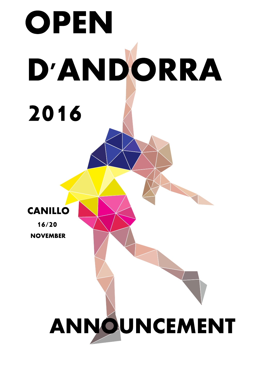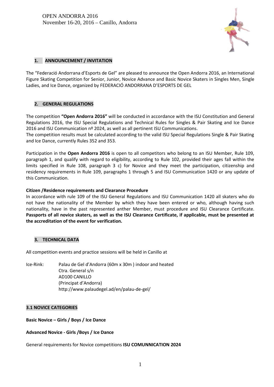

# **1. ANNOUNCEMENT / INVITATION**

The "Federació Andorrana d'Esports de Gel" are pleased to announce the Open Andorra 2016, an International Figure Skating Competition for Senior, Junior, Novice Advance and Basic Novice Skaters in Singles Men, Single Ladies, and Ice Dance, organized by FEDERACIÓ ANDORRANA D'ESPORTS DE GEL

### **2. GENERAL REGULATIONS**

The competition **"Open Andorra 2016"** will be conducted in accordance with the ISU Constitution and General Regulations 2016, the ISU Special Regulations and Technical Rules for Singles & Pair Skating and Ice Dance 2016 and ISU Communication nº 2024, as well as all pertinent ISU Communications.

The competition results must be calculated according to the valid ISU Special Regulations Single & Pair Skating and Ice Dance, currently Rules 352 and 353.

Participation in the **Open Andorra 2016** is open to all competitors who belong to an ISU Member, Rule 109, paragraph 1, and qualify with regard to eligibility, according to Rule 102, provided their ages fall within the limits specified in Rule 108, paragraph 3 c) for Novice and they meet the participation, citizenship and residency requirements in Rule 109, paragraphs 1 through 5 and ISU Communication 1420 or any update of this Communication.

### **Citizen /Residence requirements and Clearance Procedure**

In accordance with rule 109 of the ISU General Regulations and ISU Communication 1420 all skaters who do not have the nationality of the Member by which they have been entered or who, although having such nationality, have in the past represented anther Member, must procedure and ISU Clearance Certificate. **Passports of all novice skaters, as well as the ISU Clearance Certificate, if applicable, must be presented at the accreditation of the event for verification.**

### **3. TECHNICAL DATA**

All competition events and practice sessions will be held in Canillo at

Ice-Rink: Palau de Gel d'Andorra (60m x 30m ) indoor and heated Ctra. General s/n AD100 CANILLO (Principat d'Andorra) http://www.palaudegel.ad/en/palau-de-gel/

### **3.1 NOVICE CATEGORIES**

### **Basic Novice – Girls / Boys / Ice Dance**

### **Advanced Novice - Girls /Boys / Ice Dance**

General requirements for Novice competitions **ISU COMUNNICATION 2024**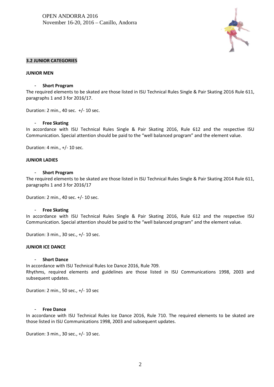

### **3.2 JUNIOR CATEGORIES**

#### **JUNIOR MEN**

#### - **Short Program**

The required elements to be skated are those listed in ISU Technical Rules Single & Pair Skating 2016 Rule 611, paragraphs 1 and 3 for 2016/17.

Duration: 2 min., 40 sec. +/- 10 sec.

#### - **Free Skating**

In accordance with ISU Technical Rules Single & Pair Skating 2016, Rule 612 and the respective ISU Communication. Special attention should be paid to the "well balanced program" and the element value.

Duration: 4 min., +/- 10 sec.

#### **JUNIOR LADIES**

#### - **Short Program**

The required elements to be skated are those listed in ISU Technical Rules Single & Pair Skating 2014 Rule 611, paragraphs 1 and 3 for 2016/17

Duration: 2 min., 40 sec. +/- 10 sec.

#### - **Free Skating**

In accordance with ISU Technical Rules Single & Pair Skating 2016, Rule 612 and the respective ISU Communication. Special attention should be paid to the "well balanced program" and the element value.

Duration: 3 min., 30 sec., +/- 10 sec.

#### **JUNIOR ICE DANCE**

#### - **Short Dance**

In accordance with ISU Technical Rules Ice Dance 2016, Rule 709. Rhythms, required elements and guidelines are those listed in ISU Communications 1998, 2003 and subsequent updates.

Duration: 2 min., 50 sec., +/- 10 sec

#### - **Free Dance**

In accordance with ISU Technical Rules Ice Dance 2016, Rule 710. The required elements to be skated are those listed in ISU Communications 1998, 2003 and subsequent updates.

Duration: 3 min., 30 sec., +/- 10 sec.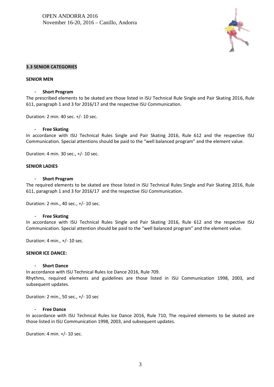

#### **3.3 SENIOR CATEGORIES**

#### **SENIOR MEN**

#### - **Short Program**

The prescribed elements to be skated are those listed in ISU Technical Rule Single and Pair Skating 2016, Rule 611, paragraph 1 and 3 for 2016/17 and the respective ISU Communication.

Duration: 2 min. 40 sec. +/- 10 sec.

#### - **Free Skating**

In accordance with ISU Technical Rules Single and Pair Skating 2016, Rule 612 and the respective ISU Communication. Special attentions should be paid to the "well balanced program" and the element value.

Duration: 4 min. 30 sec., +/- 10 sec.

#### **SENIOR LADIES**

#### - **Short Program**

The required elements to be skated are those listed in ISU Technical Rules Single and Pair Skating 2016, Rule 611, paragraph 1 and 3 for 2016/17 and the respective ISU Communication.

Duration: 2 min., 40 sec., +/- 10 sec.

#### - **Free Skating**

In accordance with ISU Technical Rules Single and Pair Skating 2016, Rule 612 and the respective ISU Communication. Special attention should be paid to the "well balanced program" and the element value.

Duration: 4 min., +/- 10 sec.

#### **SENIOR ICE DANCE:**

#### - **Short Dance**

In accordance with ISU Technical Rules Ice Dance 2016, Rule 709.

Rhythms, required elements and guidelines are those listed in ISU Communication 1998, 2003, and subsequent updates.

Duration: 2 min., 50 sec., +/- 10 sec

#### - **Free Dance**

In accordance with ISU Technical Rules Ice Dance 2016, Rule 710, The required elements to be skated are those listed in ISU Communication 1998, 2003, and subsequent updates.

Duration: 4 min. +/- 10 sec.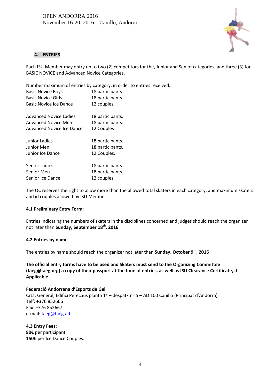

# **4. ENTRIES**

Each ISU Member may entry up to two (2) competitors for the, Junior and Senior categories, and three (3) for BASIC NOVICE and Advanced Novice Categories.

Number maximum of entries by category, in order to entries received:

| 18 participants  |
|------------------|
| 18 participants  |
| 12 couples       |
| 18 participants. |
| 18 participants. |
| 12 Couples       |
| 18 participants. |
| 18 participants. |
| 12 Couples.      |
| 18 participants. |
| 18 participants. |
| 12 couples.      |
|                  |

The OC reserves the right to allow more than the allowed total skaters in each category, and maximum skaters and id couples allowed by ISU Member.

### **4.1 Preliminary Entry Form:**

Entries indicating the numbers of skaters in the disciplines concerned and judges should reach the organizer not later than **Sunday, September 18th, 2016**

### **4.2 Entries by name**

The entries by name should reach the organizer not later than **Sunday, October 9th, 2016**

**The official entry forms have to be used and Skaters must send to the Organizing Committee (faeg@faeg.org) a copy of their passport at the time of entries, as well as ISU Clearance Certificate, if Applicable**

### **Federació Andorrana d'Esports de Gel**

Crta. General, Edifici Perecaus planta 1ª – despatx nº 5 – AD 100 Canillo (Principat d'Andorra) Telf: +376 852666 Fax: +376 852667 e-mail: faeg@faeg.ad

**4.3 Entry Fees: 80€** per participant. **150€** per Ice Dance Couples.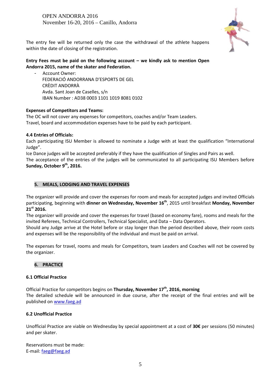OPEN ANDORRA 2016 November 16-20, 2016 – Canillo, Andorra



The entry fee will be returned only the case the withdrawal of the athlete happens within the date of closing of the registration.

# **Entry Fees must be paid on the following account – we kindly ask to mention Open Andorra 2015, name of the skater and Federation.**

- Account Owner: FEDERACIÓ ANDORRANA D'ESPORTS DE GEL CRÈDIT ANDORRÀ Avda. Sant Joan de Caselles, s/n IBAN Number : AD38 0003 1101 1019 8081 0102

# **Expenses of Competitors and Teams:**

The OC will not cover any expenses for competitors, coaches and/or Team Leaders. Travel, board and accommodation expenses have to be paid by each participant.

# **4.4 Entries of Officials:**

Each participating ISU Member is allowed to nominate a Judge with at least the qualification "International Judge".

Ice Dance judges will be accepted preferably if they have the qualification of Singles and Pairs as well.

The acceptance of the entries of the judges will be communicated to all participating ISU Members before **Sunday, October 9 th , 2016.**

# **5. MEALS, LODGING AND TRAVEL EXPENSES**

The organizer will provide and cover the expenses for room and meals for accepted judges and invited Officials participating, beginning with **dinner on Wednesday, November 16th**, 2015 until breakfast **Monday, November 21st 2016.**

The organizer will provide and cover the expenses for travel (based on economy fare), rooms and meals for the invited Referees, Technical Controllers, Technical Specialist, and Data ¬ Data Operators.

Should any Judge arrive at the Hotel before or stay longer than the period described above, their room costs and expenses will be the responsibility of the individual and must be paid on arrival.

The expenses for travel, rooms and meals for Competitors, team Leaders and Coaches will not be covered by the organizer.

# **6. PRACTICE**

### **6.1 Official Practice**

Official Practice for competitors begins on **Thursday, November 17 th, 2016, morning** The detailed schedule will be announced in due course, after the receipt of the final entries and will be published on www.faeg.ad

# **6.2 Unofficial Practice**

Unofficial Practice are viable on Wednesday by special appointment at a cost of **30€** per sessions (50 minutes) and per skater.

Reservations must be made: E-mail: faeg@faeg.ad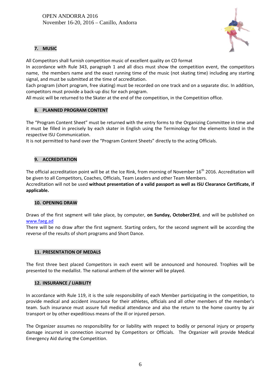

# **7. MUSIC**

All Competitors shall furnish competition music of excellent quality on CD format

In accordance with Rule 343, paragraph 1 and all discs must show the competition event, the competitors name, the members name and the exact running time of the music (not skating time) including any starting signal, and must be submitted at the time of accreditation.

Each program (short program, free skating) must be recorded on one track and on a separate disc. In addition, competitors must provide a back-up disc for each program.

All music will be returned to the Skater at the end of the competition, in the Competition office.

# **8. PLANNED PROGRAM CONTENT**

The "Program Content Sheet" must be returned with the entry forms to the Organizing Committee in time and it must be filled in precisely by each skater in English using the Terminology for the elements listed in the respective ISU Communication.

It is not permitted to hand over the "Program Content Sheets" directly to the acting Officials.

# **9. ACCREDITATION**

The official accreditation point will be at the Ice Rink, from morning of November 16<sup>th</sup> 2016. Accreditation will be given to all Competitors, Coaches, Officials, Team Leaders and other Team Members.

Accreditation will not be used **without presentation of a valid passport as well as ISU Clearance Certificate, if applicable.**

### **10. OPENING DRAW**

Draws of the first segment will take place, by computer, **on Sunday, October23rd**, and will be published on www.faeg.ad

There will be no draw after the first segment. Starting orders, for the second segment will be according the reverse of the results of short programs and Short Dance.

### **11. PRESENTATION OF MEDALS**

The first three best placed Competitors in each event will be announced and honoured. Trophies will be presented to the medallist. The national anthem of the winner will be played.

### **12. INSURANCE / LIABILITY**

In accordance with Rule 119, it is the sole responsibility of each Member participating in the competition, to provide medical and accident insurance for their athletes, officials and all other members of the member's team. Such insurance must assure full medical attendance and also the return to the home country by air transport or by other expeditious means of the ill or injured person.

The Organizer assumes no responsibility for or liability with respect to bodily or personal injury or property damage incurred in connection incurred by Competitors or Officials. The Organizer will provide Medical Emergency Aid during the Competition.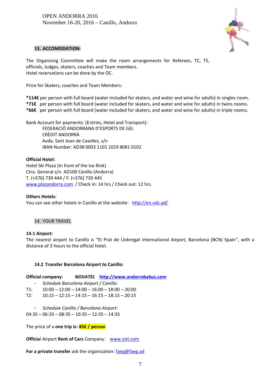

### **13. ACCOMODATION:**

The Organizing Committee will make the room arrangements for Referees, TC, TS, officials, Judges, skaters, coaches and Team members. Hotel reservations can be done by the OC.

Price for Skaters, coaches and Team Members:

**\*114€** per person with full board (water included for skaters, and water and wine for adults) in singles room. **\*71€** per person with full board (water included for skaters, and water and wine for adults) in twins rooms. **\*66€** per person with full board (water included for skaters, and water and wine for adults) in triple rooms.

Bank Account for payments: (Entries, Hotel and Transport):

FEDERACIÓ ANDORRANA D'ESPORTS DE GEL CRÈDIT ANDORRÀ Avda. Sant Joan de Caselles, s/n IBAN Number: AD38 0003 1101 1019 8081 0102

# **Official Hotel:**

Hotel Ski Plaza (In front of the Ice Rink) Ctra. General s/n. AD100 Canillo (Andorra) T. (+376) 739 444 / F. (+376) 739 445 www.plazandorra.com / Check in: 14 hrs / Check out: 12 hrs.

### **Others Hotels:**

You can see other hotels in Canillo at the website: http://en.vdc.ad/

### 14. YOUR TRAVEL

### **14.1 Airport:**

The nearest airport to Canillo is "El Prat de Llobregat International Airport, Barcelona (BCN) Spain", with a distance of 3 hours to the official hotel.

# **14.2 Transfer Barcelona Airport to Canillo:**

| <b>Official company:</b> | NOVATEL http://www.andorrabybus.com |  |
|--------------------------|-------------------------------------|--|
|--------------------------|-------------------------------------|--|

- *Schedule Barcelona Airport / Canillo:*
- $T1: 10:00 12:00 14:00 16:00 18:00 20:00$
- $T2: 10:15 12:15 14:15 16:15 18:15 20:15$ 
	- *Schedule Canillo / Barcelona Airport:*

 $04:35 - 06:35 - 08:35 - 10:35 - 12:35 - 14:35$ 

The price of a **one trip is: 45€ / person**

**Officia**l Airport **Rent of Cars** Company: www.sixt.com

**For a private transfer** ask the organization: faeg@faeg.ad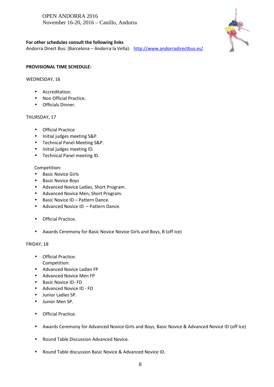OPEN ANDORRA 2016 November 16-20, 2016 – Canillo, Andorra



# **For other schedules consult the following links**

Andorra Direct Bus: (Barcelona – Andorra la Vella): http://www.andorradirectbus.es/

### **PROVISIONAL TIME SCHEDULE:**

### WEDNESDAY, 16

- Accreditation.
- Non Official Practice.
- Officials Dinner.

# THURSDAY, 17

- **•** Official Practice
- Initial judges meeting S&P.
- Technical Panel Meeting S&P.
- Initial judges meeting ID.
- Technical Panel meeting ID.

# Competition:

- Basic Novice Girls
- Basic Novice Boys
- Advanced Novice Ladies, Short Program.
- Advanced Novice Men, Short Program.
- Basic Novice ID Pattern Dance.
- Advanced Novice ID Pattern Dance.
- Official Practice.
- Awards Ceremony for Basic Novice Novice Girls and Boys, B (off Ice)

### FRIDAY, 18

- Official Practice. Competition:
- Advanced Novice Ladies FP
- Advanced Novice Men FP
- Basic Novice ID-FD
- Advanced Novice ID FD
- Junior Ladies SP.
- Junior Men SP.
- **•** Official Practice.
- Awards Ceremony for Advanced Novice Girls and Boys, Basic Novice & Advanced Novice ID (off Ice)
- Round Table Discussion Advanced Novice.
- Round Table discussion Basic Novice & Advanced Novice ID.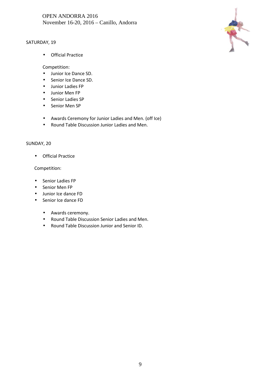# OPEN ANDORRA 2016 November 16-20, 2016 – Canillo, Andorra

# SATURDAY, 19



Official Practice

Competition:

- Junior Ice Dance SD.
- Senior Ice Dance SD.
- Junior Ladies FP
- Junior Men FP
- Senior Ladies SP
- Senior Men SP
- Awards Ceremony for Junior Ladies and Men. (off Ice)
- Round Table Discussion Junior Ladies and Men.

### SUNDAY, 20

Official Practice

### Competition:

- Senior Ladies FP
- Senior Men FP
- Junior Ice dance FD
- Senior Ice dance FD
	- Awards ceremony.
	- Round Table Discussion Senior Ladies and Men.
	- Round Table Discussion Junior and Senior ID.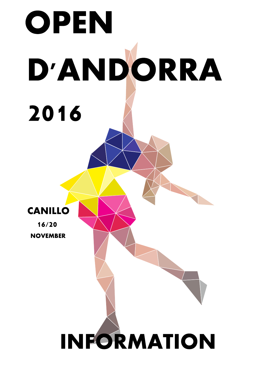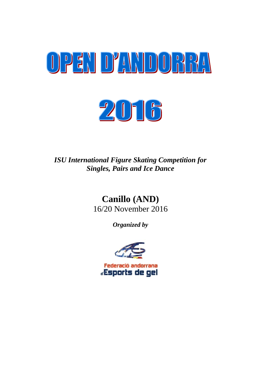



*ISU International Figure Skating Competition for Singles, Pairs and Ice Dance*

# **Canillo (AND)** 16/20 November 2016

*Organized by*

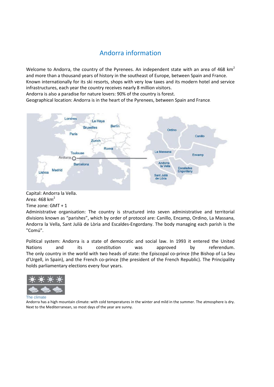# Andorra information

Welcome to Andorra, the country of the Pyrenees. An independent state with an area of 468  $km^2$ and more than a thousand years of history in the southeast of Europe, between Spain and France. Known internationally for its ski resorts, shops with very low taxes and its modern hotel and service infrastructures, each year the country receives nearly 8 million visitors.

Andorra is also a paradise for nature lovers: 90% of the country is forest.

Geographical location: Andorra is in the heart of the Pyrenees, between Spain and France.



Capital: Andorra la Vella. Area:  $468$  km<sup>2</sup> Time zone: GMT + 1

Administrative organisation: The country is structured into seven administrative and territorial divisions known as "parishes", which by order of protocol are: Canillo, Encamp, Ordino, La Massana, Andorra la Vella, Sant Julià de Lòria and Escaldes-Engordany. The body managing each parish is the "Comú".

Political system: Andorra is a state of democratic and social law. In 1993 it entered the United Nations and its constitution was approved by referendum. The only country in the world with two heads of state: the Episcopal co-prince (the Bishop of La Seu d'Urgell, in Spain), and the French co-prince (the president of the French Republic). The Principality holds parliamentary elections every four years.



Andorra has a high mountain climate: with cold temperatures in the winter and mild in the summer. The atmosphere is dry. Next to the Mediterranean, so most days of the year are sunny.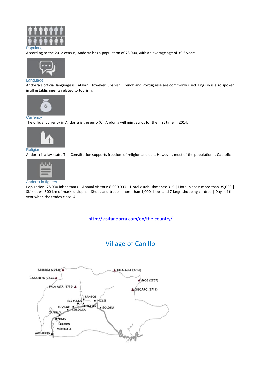

#### Population

According to the 2012 census, Andorra has a population of 78,000, with an average age of 39.6 years.



#### **Language**

Andorra's official language is Catalan. However, Spanish, French and Portuguese are commonly used. English is also spoken in all establishments related to tourism.



#### **Currency**

The official currency in Andorra is the euro (€). Andorra will mint Euros for the first time in 2014.



#### Religion

Andorra is a lay state. The Constitution supports freedom of religion and cult. However, most of the population is Catholic.



#### Andorra in figures

Population: 78,000 inhabitants | Annual visitors: 8.000.000 | Hotel establishments: 315 | Hotel places: more than 39,000 | Ski slopes: 300 km of marked slopes | Shops and trades: more than 1,000 shops and 7 large shopping centres | Days of the year when the trades close: 4

http://visitandorra.com/en/the-country/

# Village of Canillo

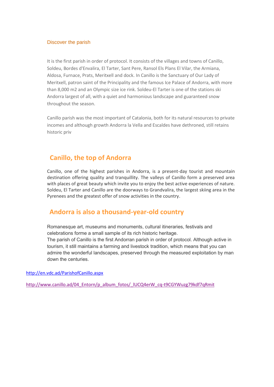# Discover the parish

It is the first parish in order of protocol. It consists of the villages and towns of Canillo, Soldeu, Bordes d'Envalira, El Tarter, Sant Pere, Ransol Els Plans El Vilar, the Armiana, Aldosa, Furnace, Prats, Meritxell and dock. In Canillo is the Sanctuary of Our Lady of Meritxell, patron saint of the Principality and the famous Ice Palace of Andorra, with more than 8,000 m2 and an Olympic size ice rink. Soldeu-El Tarter is one of the stations ski Andorra largest of all, with a quiet and harmonious landscape and guaranteed snow throughout the season.

Canillo parish was the most important of Catalonia, both for its natural resources to private incomes and although growth Andorra la Vella and Escaldes have dethroned, still retains historic priv

# **Canillo, the top of Andorra**

Canillo, one of the highest parishes in Andorra, is a present-day tourist and mountain destination offering quality and tranquillity. The valleys of Canillo form a preserved area with places of great beauty which invite you to enjoy the best active experiences of nature. Soldeu, El Tarter and Canillo are the doorways to Grandvalira, the largest skiing area in the Pyrenees and the greatest offer of snow activities in the country.

# **Andorra is also a thousand-year-old country**

Romanesque art, museums and monuments, cultural itineraries, festivals and celebrations forme a small sample of its rich historic heritage. The parish of Canillo is the first Andorran parish in order of protocol. Although active in tourism, it still maintains a farming and livestock tradition, which means that you can admire the wonderful landscapes, preserved through the measured exploitation by man down the centuries.

http://en.vdc.ad/ParishofCanillo.aspx

http://www.canillo.ad/04\_Entorn/p\_album\_fotos/\_lUCQ4erW\_cq-t9CGYWuzg79kdf7qRmit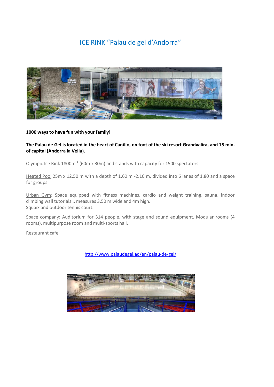# ICE RINK "Palau de gel d'Andorra"



### **1000 ways to have fun with your family!**

# **The Palau de Gel is located in the heart of Canillo, on foot of the ski resort Grandvalira, and 15 min. of capital (Andorra la Vella).**

Olympic Ice Rink 1800m ² (60m x 30m) and stands with capacity for 1500 spectators.

Heated Pool 25m x 12.50 m with a depth of 1.60 m -2.10 m, divided into 6 lanes of 1.80 and a space for groups

Urban Gym: Space equipped with fitness machines, cardio and weight training, sauna, indoor climbing wall tutorials .. measures 3.50 m wide and 4m high. Squaix and outdoor tennis court.

Space company: Auditorium for 314 people, with stage and sound equipment. Modular rooms (4 rooms), multipurpose room and multi-sports hall.

Restaurant cafe

http://www.palaudegel.ad/en/palau-de-gel/